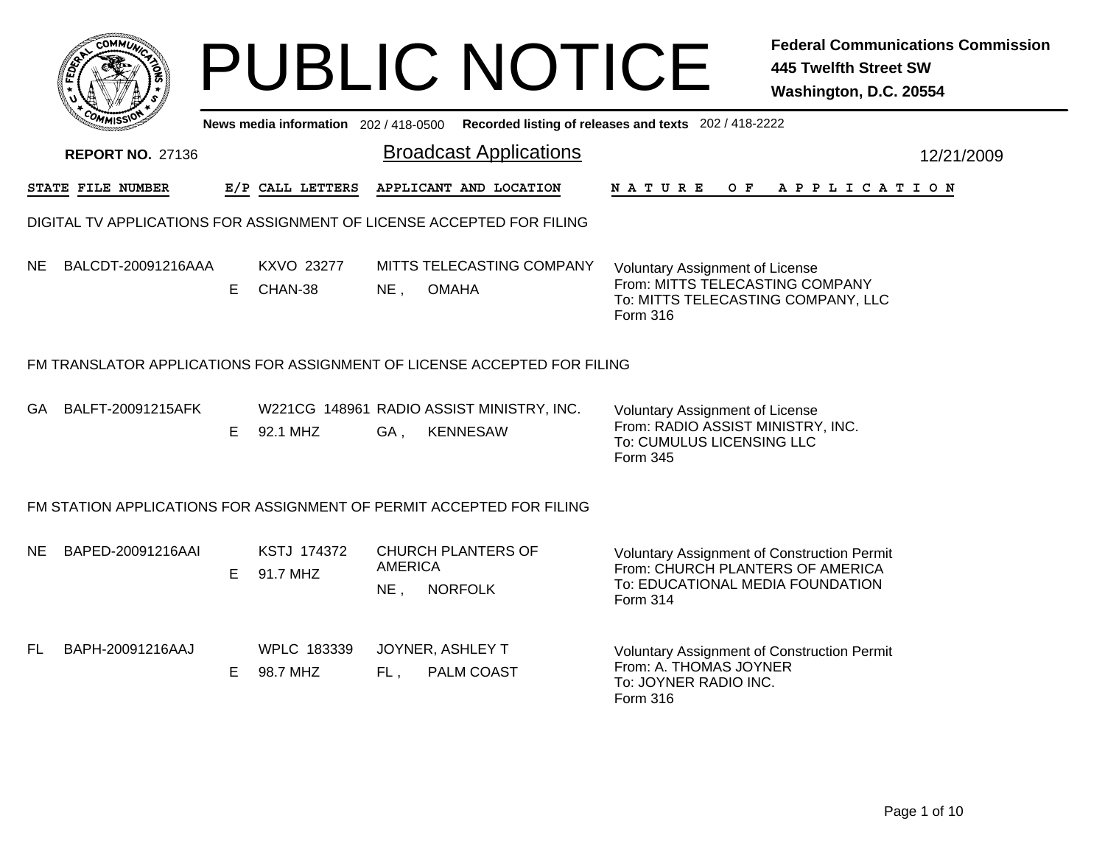|     |                                                                          |    |                                     |                         | <b>PUBLIC NOTICE</b>                                         |                                                                                                                                    | <b>Federal Communications Commission</b><br><b>445 Twelfth Street SW</b><br>Washington, D.C. 20554 |            |
|-----|--------------------------------------------------------------------------|----|-------------------------------------|-------------------------|--------------------------------------------------------------|------------------------------------------------------------------------------------------------------------------------------------|----------------------------------------------------------------------------------------------------|------------|
|     |                                                                          |    | News media information 202/418-0500 |                         |                                                              | Recorded listing of releases and texts 202 / 418-2222                                                                              |                                                                                                    |            |
|     | <b>REPORT NO. 27136</b>                                                  |    |                                     |                         | <b>Broadcast Applications</b>                                |                                                                                                                                    |                                                                                                    | 12/21/2009 |
|     | STATE FILE NUMBER                                                        |    | E/P CALL LETTERS                    |                         | APPLICANT AND LOCATION                                       | <b>NATURE</b><br>O F                                                                                                               | A P P L I C A T I O N                                                                              |            |
|     | DIGITAL TV APPLICATIONS FOR ASSIGNMENT OF LICENSE ACCEPTED FOR FILING    |    |                                     |                         |                                                              |                                                                                                                                    |                                                                                                    |            |
| NE. | BALCDT-20091216AAA                                                       | E  | KXVO 23277<br>CHAN-38               | NE <sub>1</sub>         | MITTS TELECASTING COMPANY<br><b>OMAHA</b>                    | <b>Voluntary Assignment of License</b><br>From: MITTS TELECASTING COMPANY<br>To: MITTS TELECASTING COMPANY, LLC<br><b>Form 316</b> |                                                                                                    |            |
|     | FM TRANSLATOR APPLICATIONS FOR ASSIGNMENT OF LICENSE ACCEPTED FOR FILING |    |                                     |                         |                                                              |                                                                                                                                    |                                                                                                    |            |
| GA. | BALFT-20091215AFK                                                        | Е  | 92.1 MHZ                            | GA.                     | W221CG 148961 RADIO ASSIST MINISTRY, INC.<br><b>KENNESAW</b> | <b>Voluntary Assignment of License</b><br>From: RADIO ASSIST MINISTRY, INC.<br>To: CUMULUS LICENSING LLC<br>Form 345               |                                                                                                    |            |
|     | FM STATION APPLICATIONS FOR ASSIGNMENT OF PERMIT ACCEPTED FOR FILING     |    |                                     |                         |                                                              |                                                                                                                                    |                                                                                                    |            |
| NE. | BAPED-20091216AAI                                                        | E. | KSTJ 174372<br>91.7 MHZ             | <b>AMERICA</b><br>NE,   | <b>CHURCH PLANTERS OF</b><br><b>NORFOLK</b>                  | Voluntary Assignment of Construction Permit<br>From: CHURCH PLANTERS OF AMERICA<br>To: EDUCATIONAL MEDIA FOUNDATION<br>Form 314    |                                                                                                    |            |
| FL. | BAPH-20091216AAJ                                                         | E. | WPLC 183339<br>98.7 MHZ             | JOYNER, ASHLEY T<br>FL, | PALM COAST                                                   | Voluntary Assignment of Construction Permit<br>From: A. THOMAS JOYNER<br>To: JOYNER RADIO INC.<br>Form 316                         |                                                                                                    |            |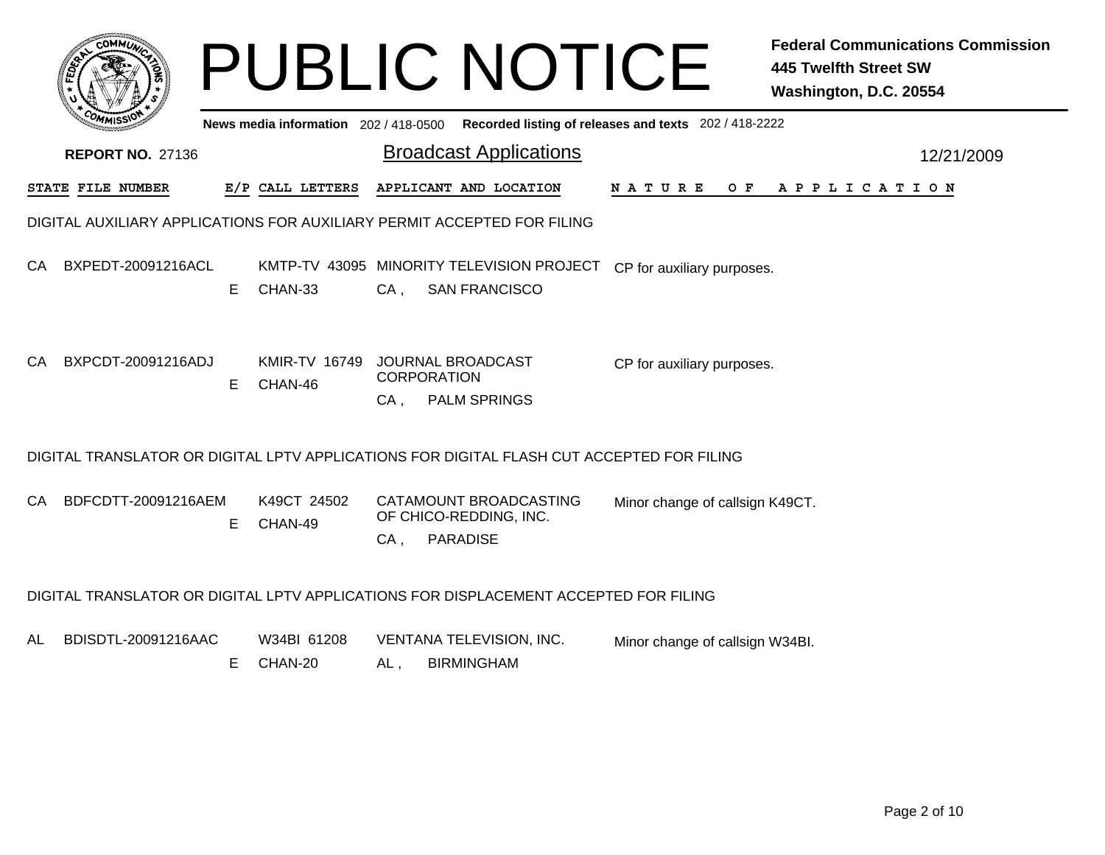|     |                                                                                           |    |                                       |                           | <b>PUBLIC NOTICE</b>                                                                         |                                                       | <b>Federal Communications Commission</b><br><b>445 Twelfth Street SW</b><br>Washington, D.C. 20554 |
|-----|-------------------------------------------------------------------------------------------|----|---------------------------------------|---------------------------|----------------------------------------------------------------------------------------------|-------------------------------------------------------|----------------------------------------------------------------------------------------------------|
|     |                                                                                           |    | News media information 202 / 418-0500 |                           |                                                                                              | Recorded listing of releases and texts 202 / 418-2222 |                                                                                                    |
|     | <b>REPORT NO. 27136</b>                                                                   |    |                                       |                           | <b>Broadcast Applications</b>                                                                |                                                       | 12/21/2009                                                                                         |
|     | STATE FILE NUMBER                                                                         |    | E/P CALL LETTERS                      |                           | APPLICANT AND LOCATION                                                                       | N A T U R E<br>O F                                    | APPLICATION                                                                                        |
|     | DIGITAL AUXILIARY APPLICATIONS FOR AUXILIARY PERMIT ACCEPTED FOR FILING                   |    |                                       |                           |                                                                                              |                                                       |                                                                                                    |
| CA. | BXPEDT-20091216ACL                                                                        | E. | CHAN-33                               | $CA$ ,                    | KMTP-TV 43095 MINORITY TELEVISION PROJECT CP for auxiliary purposes.<br><b>SAN FRANCISCO</b> |                                                       |                                                                                                    |
| CA. | BXPCDT-20091216ADJ                                                                        | E  | <b>KMIR-TV 16749</b><br>CHAN-46       | <b>CORPORATION</b><br>CA, | JOURNAL BROADCAST<br><b>PALM SPRINGS</b>                                                     | CP for auxiliary purposes.                            |                                                                                                    |
|     | DIGITAL TRANSLATOR OR DIGITAL LPTV APPLICATIONS FOR DIGITAL FLASH CUT ACCEPTED FOR FILING |    |                                       |                           |                                                                                              |                                                       |                                                                                                    |
| СA  | BDFCDTT-20091216AEM                                                                       | E. | K49CT 24502<br>CHAN-49                | $CA$ ,                    | CATAMOUNT BROADCASTING<br>OF CHICO-REDDING, INC.<br><b>PARADISE</b>                          | Minor change of callsign K49CT.                       |                                                                                                    |
|     | DIGITAL TRANSLATOR OR DIGITAL LPTV APPLICATIONS FOR DISPLACEMENT ACCEPTED FOR FILING      |    |                                       |                           |                                                                                              |                                                       |                                                                                                    |
| AL  | BDISDTL-20091216AAC                                                                       | E  | W34BI 61208<br>CHAN-20                | AL.                       | VENTANA TELEVISION, INC.<br><b>BIRMINGHAM</b>                                                | Minor change of callsign W34BI.                       |                                                                                                    |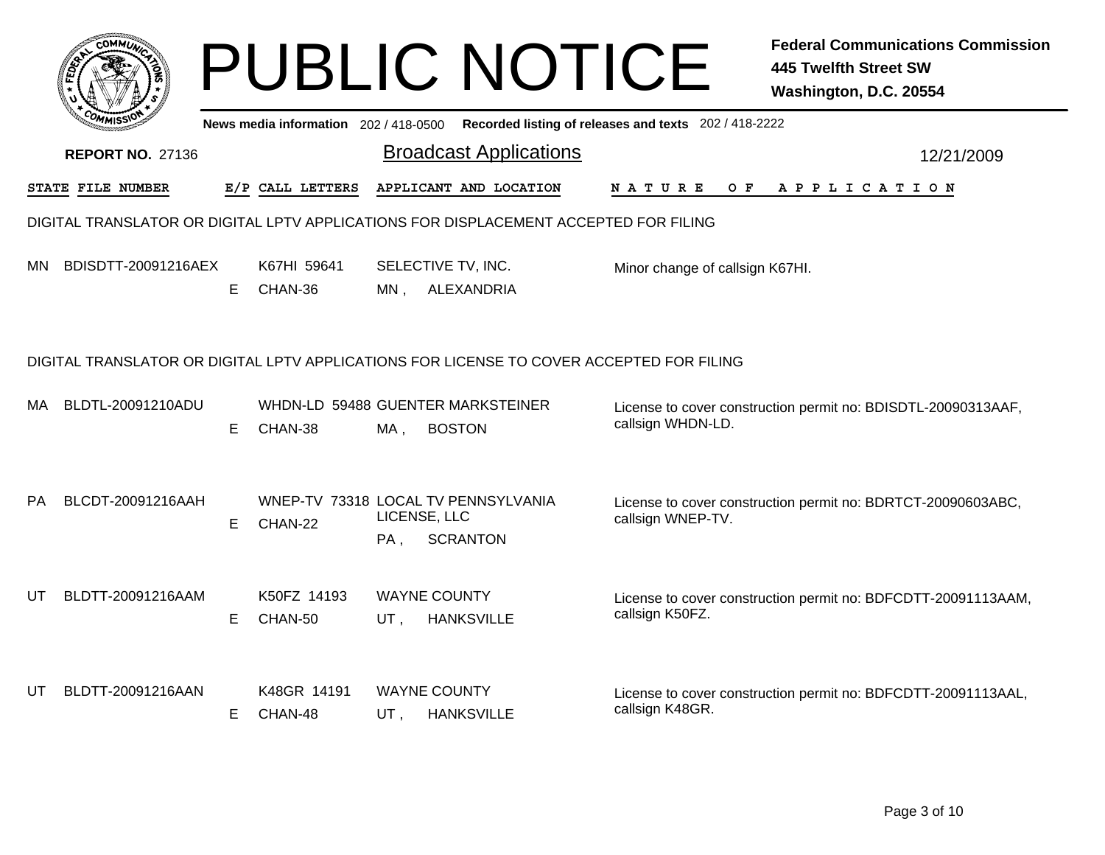|           | <b>COMMU</b>                                                                             |    |                                       |                        | <b>PUBLIC NOTICE</b>                                                                 |                                                       | <b>Federal Communications Commission</b><br><b>445 Twelfth Street SW</b><br>Washington, D.C. 20554 |  |
|-----------|------------------------------------------------------------------------------------------|----|---------------------------------------|------------------------|--------------------------------------------------------------------------------------|-------------------------------------------------------|----------------------------------------------------------------------------------------------------|--|
|           |                                                                                          |    | News media information 202 / 418-0500 |                        |                                                                                      | Recorded listing of releases and texts 202 / 418-2222 |                                                                                                    |  |
|           | <b>REPORT NO. 27136</b>                                                                  |    |                                       |                        | <b>Broadcast Applications</b>                                                        |                                                       | 12/21/2009                                                                                         |  |
|           | STATE FILE NUMBER                                                                        |    | E/P CALL LETTERS                      |                        | APPLICANT AND LOCATION                                                               | <b>NATURE</b><br>O F                                  | APPLICATION                                                                                        |  |
|           |                                                                                          |    |                                       |                        | DIGITAL TRANSLATOR OR DIGITAL LPTV APPLICATIONS FOR DISPLACEMENT ACCEPTED FOR FILING |                                                       |                                                                                                    |  |
| <b>MN</b> | BDISDTT-20091216AEX                                                                      | E. | K67HI 59641<br>CHAN-36                | MN.                    | SELECTIVE TV, INC.<br>ALEXANDRIA                                                     | Minor change of callsign K67HI.                       |                                                                                                    |  |
|           | DIGITAL TRANSLATOR OR DIGITAL LPTV APPLICATIONS FOR LICENSE TO COVER ACCEPTED FOR FILING |    |                                       |                        |                                                                                      |                                                       |                                                                                                    |  |
| MA        | BLDTL-20091210ADU                                                                        | E. | CHAN-38                               | MA ,                   | WHDN-LD 59488 GUENTER MARKSTEINER<br><b>BOSTON</b>                                   | callsign WHDN-LD.                                     | License to cover construction permit no: BDISDTL-20090313AAF,                                      |  |
| <b>PA</b> | BLCDT-20091216AAH                                                                        | E  | CHAN-22                               | LICENSE, LLC<br>$PA$ , | WNEP-TV 73318 LOCAL TV PENNSYLVANIA<br><b>SCRANTON</b>                               | callsign WNEP-TV.                                     | License to cover construction permit no: BDRTCT-20090603ABC,                                       |  |
| UT        | BLDTT-20091216AAM                                                                        | E. | K50FZ 14193<br>CHAN-50                | UT.                    | <b>WAYNE COUNTY</b><br><b>HANKSVILLE</b>                                             | callsign K50FZ.                                       | License to cover construction permit no: BDFCDTT-20091113AAM,                                      |  |
| UT        | BLDTT-20091216AAN                                                                        | E. | K48GR 14191<br>CHAN-48                | UT,                    | <b>WAYNE COUNTY</b><br><b>HANKSVILLE</b>                                             | callsign K48GR.                                       | License to cover construction permit no: BDFCDTT-20091113AAL,                                      |  |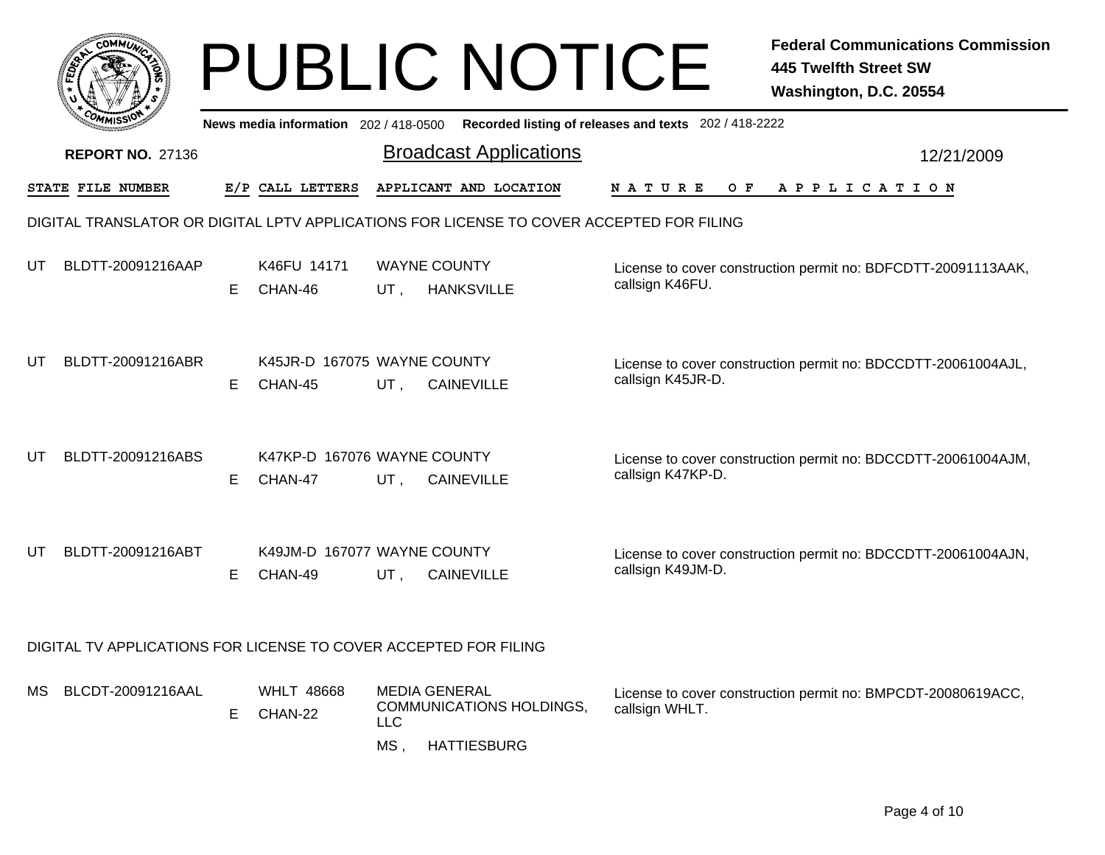|     |                                                                                          |    |                                        |                                              | <b>PUBLIC NOTICE</b>                           |                                                                                             | <b>Federal Communications Commission</b><br><b>445 Twelfth Street SW</b><br>Washington, D.C. 20554 |  |
|-----|------------------------------------------------------------------------------------------|----|----------------------------------------|----------------------------------------------|------------------------------------------------|---------------------------------------------------------------------------------------------|----------------------------------------------------------------------------------------------------|--|
|     |                                                                                          |    |                                        |                                              |                                                | News media information 202 / 418-0500 Recorded listing of releases and texts 202 / 418-2222 |                                                                                                    |  |
|     | <b>REPORT NO. 27136</b>                                                                  |    |                                        |                                              | <b>Broadcast Applications</b>                  |                                                                                             | 12/21/2009                                                                                         |  |
|     | <b>STATE FILE NUMBER</b>                                                                 |    | E/P CALL LETTERS                       |                                              | APPLICANT AND LOCATION                         | <b>NATURE</b><br>OF DOOR                                                                    | A P P L I C A T I O N                                                                              |  |
|     | DIGITAL TRANSLATOR OR DIGITAL LPTV APPLICATIONS FOR LICENSE TO COVER ACCEPTED FOR FILING |    |                                        |                                              |                                                |                                                                                             |                                                                                                    |  |
| UT  | BLDTT-20091216AAP                                                                        | E. | K46FU 14171<br>CHAN-46                 | <b>WAYNE COUNTY</b><br>UT,                   | <b>HANKSVILLE</b>                              | callsign K46FU.                                                                             | License to cover construction permit no: BDFCDTT-20091113AAK,                                      |  |
| UT  | BLDTT-20091216ABR                                                                        | E. | K45JR-D 167075 WAYNE COUNTY<br>CHAN-45 | UT,                                          | <b>CAINEVILLE</b>                              | callsign K45JR-D.                                                                           | License to cover construction permit no: BDCCDTT-20061004AJL,                                      |  |
| UT  | BLDTT-20091216ABS                                                                        | E. | K47KP-D 167076 WAYNE COUNTY<br>CHAN-47 | UT,                                          | <b>CAINEVILLE</b>                              | callsign K47KP-D.                                                                           | License to cover construction permit no: BDCCDTT-20061004AJM,                                      |  |
| UT  | BLDTT-20091216ABT                                                                        | E. | K49JM-D 167077 WAYNE COUNTY<br>CHAN-49 | UT,                                          | <b>CAINEVILLE</b>                              | callsign K49JM-D.                                                                           | License to cover construction permit no: BDCCDTT-20061004AJN,                                      |  |
|     | DIGITAL TV APPLICATIONS FOR LICENSE TO COVER ACCEPTED FOR FILING                         |    |                                        |                                              |                                                |                                                                                             |                                                                                                    |  |
| MS. | BLCDT-20091216AAL                                                                        | E. | <b>WHLT 48668</b><br>CHAN-22           | <b>MEDIA GENERAL</b><br><b>LLC</b><br>$MS$ , | COMMUNICATIONS HOLDINGS,<br><b>HATTIESBURG</b> | callsign WHLT.                                                                              | License to cover construction permit no: BMPCDT-20080619ACC,                                       |  |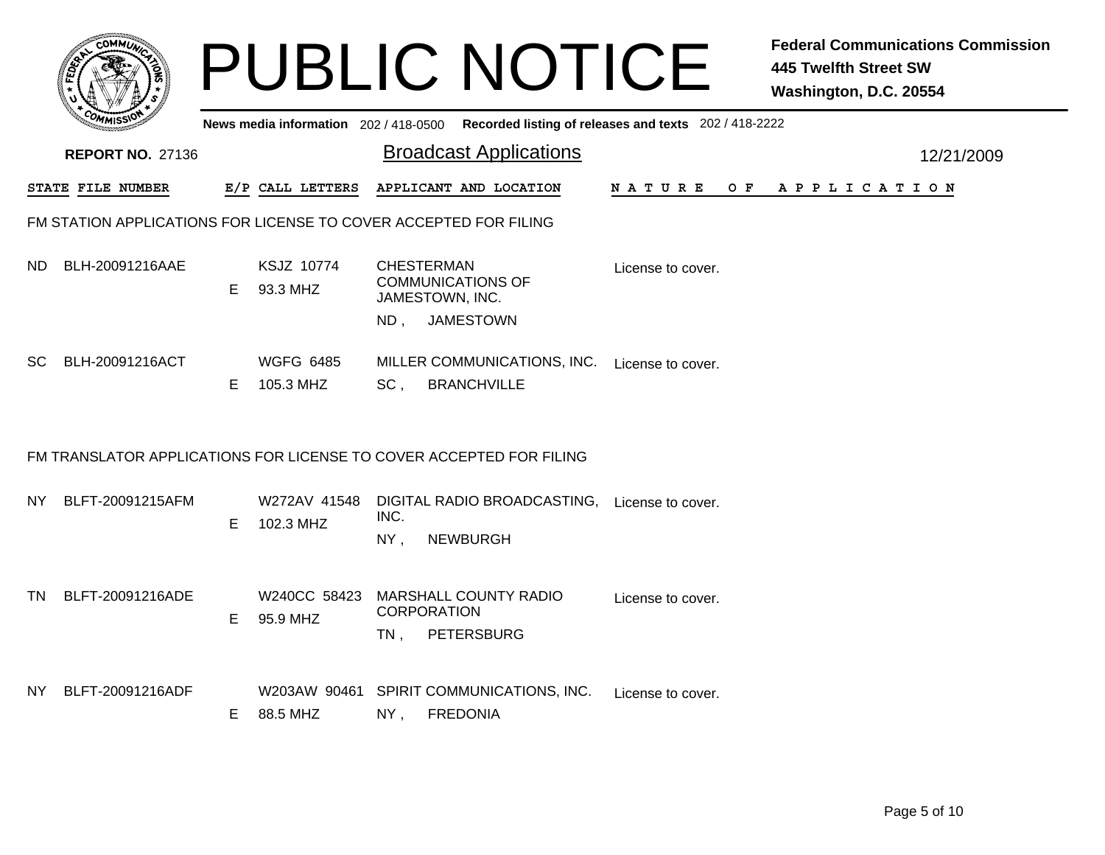| сомми                                                               |    |                                     |                | <b>PUBLIC NOTICE</b>                                                                 |                                                       | <b>Federal Communications Commission</b><br><b>445 Twelfth Street SW</b><br>Washington, D.C. 20554 |  |  |  |
|---------------------------------------------------------------------|----|-------------------------------------|----------------|--------------------------------------------------------------------------------------|-------------------------------------------------------|----------------------------------------------------------------------------------------------------|--|--|--|
|                                                                     |    | News media information 202/418-0500 |                |                                                                                      | Recorded listing of releases and texts 202 / 418-2222 |                                                                                                    |  |  |  |
| <b>REPORT NO. 27136</b>                                             |    |                                     |                | <b>Broadcast Applications</b>                                                        |                                                       | 12/21/2009                                                                                         |  |  |  |
| STATE FILE NUMBER                                                   |    | E/P CALL LETTERS                    |                | APPLICANT AND LOCATION                                                               | N A T U R E                                           | OF APPLICATION                                                                                     |  |  |  |
| FM STATION APPLICATIONS FOR LICENSE TO COVER ACCEPTED FOR FILING    |    |                                     |                |                                                                                      |                                                       |                                                                                                    |  |  |  |
| BLH-20091216AAE<br>ND.                                              | E. | KSJZ 10774<br>93.3 MHZ              | $ND$ ,         | <b>CHESTERMAN</b><br><b>COMMUNICATIONS OF</b><br>JAMESTOWN, INC.<br><b>JAMESTOWN</b> | License to cover.                                     |                                                                                                    |  |  |  |
| BLH-20091216ACT<br>SC.                                              | Е  | <b>WGFG 6485</b><br>105.3 MHZ       | SC,            | MILLER COMMUNICATIONS, INC.<br><b>BRANCHVILLE</b>                                    | License to cover.                                     |                                                                                                    |  |  |  |
| FM TRANSLATOR APPLICATIONS FOR LICENSE TO COVER ACCEPTED FOR FILING |    |                                     |                |                                                                                      |                                                       |                                                                                                    |  |  |  |
| BLFT-20091215AFM<br>NY.                                             | E  | W272AV 41548<br>102.3 MHZ           | INC.<br>$NY$ , | DIGITAL RADIO BROADCASTING,<br><b>NEWBURGH</b>                                       | License to cover.                                     |                                                                                                    |  |  |  |
| BLFT-20091216ADE<br>TN.                                             | Е  | W240CC 58423<br>95.9 MHZ            | $TN$ ,         | <b>MARSHALL COUNTY RADIO</b><br><b>CORPORATION</b><br><b>PETERSBURG</b>              | License to cover.                                     |                                                                                                    |  |  |  |
| BLFT-20091216ADF<br>NY.                                             | E  | W203AW 90461<br>88.5 MHZ            | NY,            | SPIRIT COMMUNICATIONS, INC.<br><b>FREDONIA</b>                                       | License to cover.                                     |                                                                                                    |  |  |  |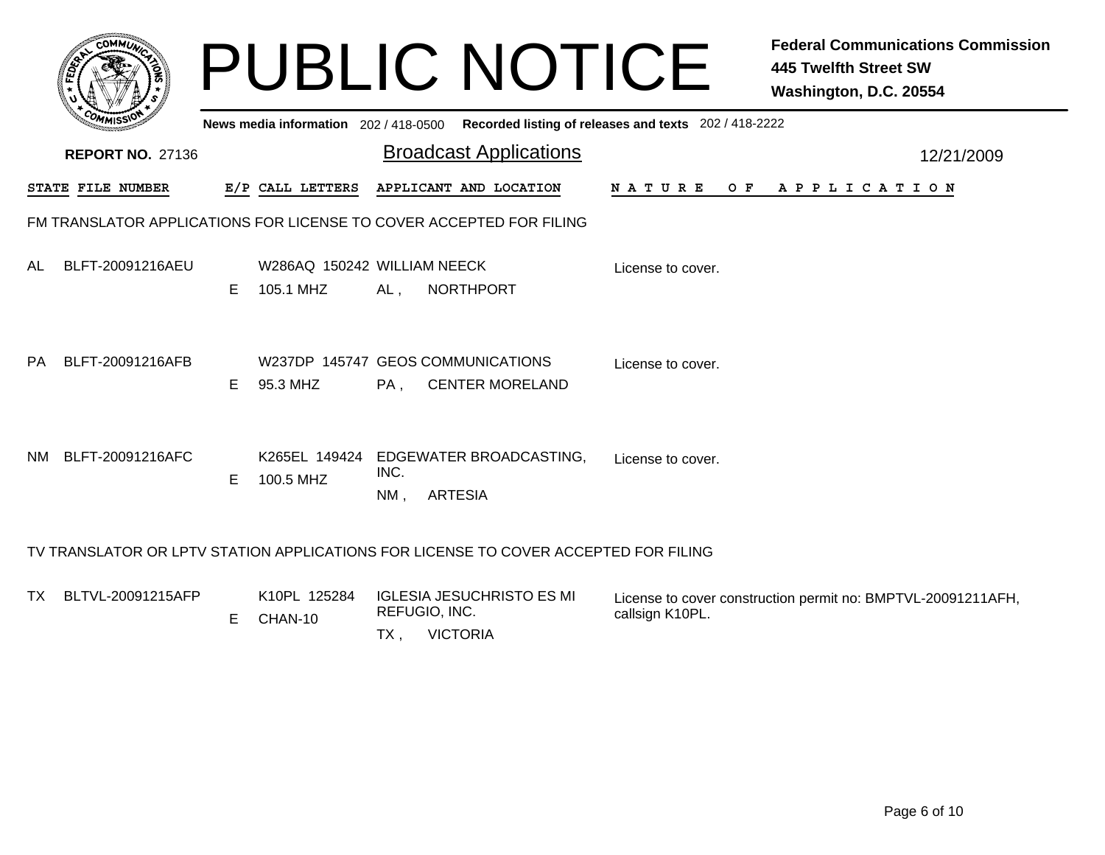|           | <b>COMMUT</b>                                                       |    |                                               |                | <b>PUBLIC NOTICE</b>                                                                |                                                       | <b>Federal Communications Commission</b><br><b>445 Twelfth Street SW</b><br>Washington, D.C. 20554 |
|-----------|---------------------------------------------------------------------|----|-----------------------------------------------|----------------|-------------------------------------------------------------------------------------|-------------------------------------------------------|----------------------------------------------------------------------------------------------------|
|           |                                                                     |    | News media information 202/418-0500           |                |                                                                                     | Recorded listing of releases and texts 202 / 418-2222 |                                                                                                    |
|           | <b>REPORT NO. 27136</b>                                             |    |                                               |                | <b>Broadcast Applications</b>                                                       |                                                       | 12/21/2009                                                                                         |
|           | STATE FILE NUMBER                                                   |    | E/P CALL LETTERS                              |                | APPLICANT AND LOCATION                                                              | N A T U R E                                           | OF APPLICATION                                                                                     |
|           | FM TRANSLATOR APPLICATIONS FOR LICENSE TO COVER ACCEPTED FOR FILING |    |                                               |                |                                                                                     |                                                       |                                                                                                    |
| <b>AL</b> | BLFT-20091216AEU                                                    | E. | W286AQ 150242 WILLIAM NEECK<br>105.1 MHZ      | AL,            | <b>NORTHPORT</b>                                                                    | License to cover.                                     |                                                                                                    |
| PA        | BLFT-20091216AFB                                                    | E. | W237DP 145747 GEOS COMMUNICATIONS<br>95.3 MHZ | PA.            | <b>CENTER MORELAND</b>                                                              | License to cover.                                     |                                                                                                    |
| NM.       | BLFT-20091216AFC                                                    | E. | K265EL 149424<br>100.5 MHZ                    | INC.<br>$NM$ , | EDGEWATER BROADCASTING,<br><b>ARTESIA</b>                                           | License to cover.                                     |                                                                                                    |
|           |                                                                     |    |                                               |                | TV TRANSLATOR OR LPTV STATION APPLICATIONS FOR LICENSE TO COVER ACCEPTED FOR FILING |                                                       |                                                                                                    |
| TX.       | BLTVL-20091215AFP                                                   |    | K10PL 125284<br>$E$ $C$ $N$ $N$ $N$ $1$ $N$   | REFUGIO, INC.  | <b>IGLESIA JESUCHRISTO ES MI</b>                                                    | callsign K10PL.                                       | License to cover construction permit no: BMPTVL-20091211AFH,                                       |

E CHAN-10

TX , VICTORIA

callsign K10PL.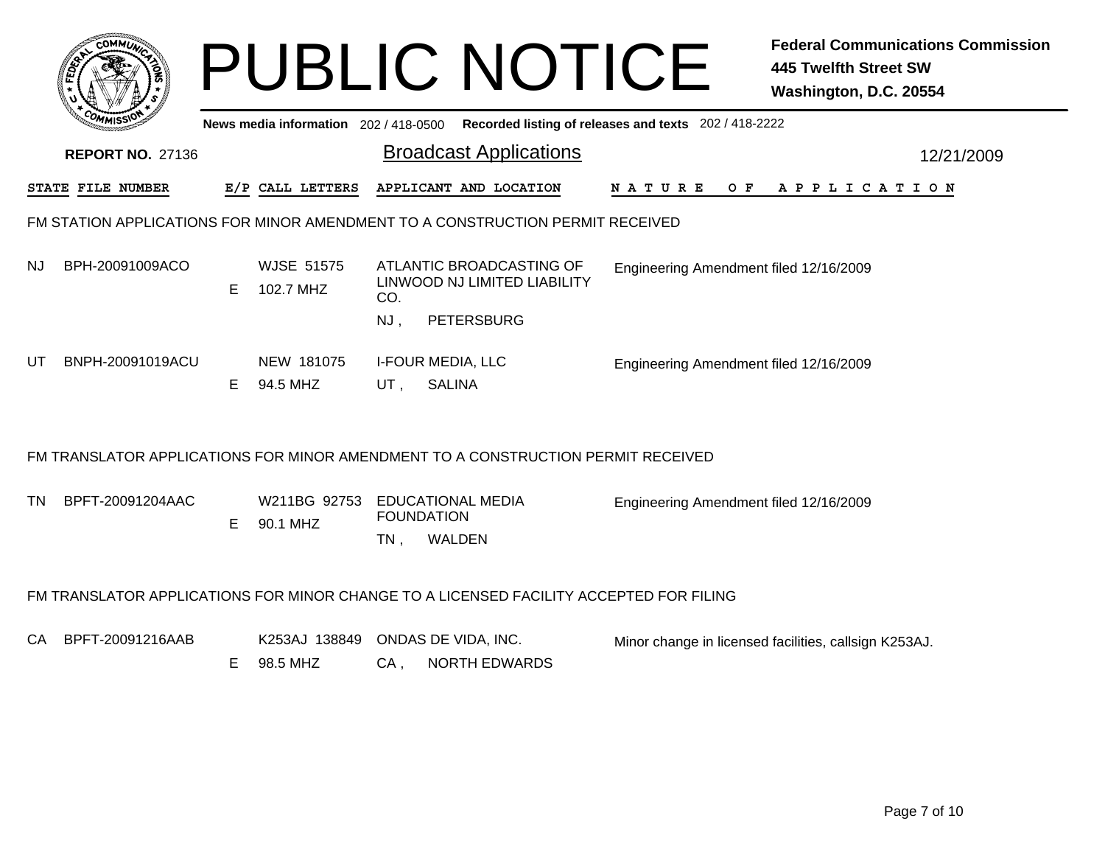|     | <b>COMMI</b>            |   |                                       |     | <b>PUBLIC NOTICE</b>                                                             |                                                       | <b>Federal Communications Commission</b><br>445 Twelfth Street SW<br>Washington, D.C. 20554 |
|-----|-------------------------|---|---------------------------------------|-----|----------------------------------------------------------------------------------|-------------------------------------------------------|---------------------------------------------------------------------------------------------|
|     |                         |   | News media information 202 / 418-0500 |     |                                                                                  | Recorded listing of releases and texts 202 / 418-2222 |                                                                                             |
|     | <b>REPORT NO. 27136</b> |   |                                       |     | <b>Broadcast Applications</b>                                                    |                                                       | 12/21/2009                                                                                  |
|     | STATE FILE NUMBER       |   | E/P CALL LETTERS                      |     | APPLICANT AND LOCATION                                                           | N A T U R E                                           | OF APPLICATION                                                                              |
|     |                         |   |                                       |     | FM STATION APPLICATIONS FOR MINOR AMENDMENT TO A CONSTRUCTION PERMIT RECEIVED    |                                                       |                                                                                             |
| NJ. | BPH-20091009ACO         | E | <b>WJSE 51575</b><br>102.7 MHZ        | CO. | ATLANTIC BROADCASTING OF<br>LINWOOD NJ LIMITED LIABILITY                         | Engineering Amendment filed 12/16/2009                |                                                                                             |
|     |                         |   |                                       | NJ. | <b>PETERSBURG</b>                                                                |                                                       |                                                                                             |
| UT  | BNPH-20091019ACU        | E | NEW 181075<br>94.5 MHZ                | UT. | <b>I-FOUR MEDIA, LLC</b><br><b>SALINA</b>                                        | Engineering Amendment filed 12/16/2009                |                                                                                             |
|     |                         |   |                                       |     | FM TRANSLATOR APPLICATIONS FOR MINOR AMENDMENT TO A CONSTRUCTION PERMIT RECEIVED |                                                       |                                                                                             |
| TN. | BPFT-20091204AAC        | Е | W211BG 92753<br>90.1 MHZ              |     | EDUCATIONAL MEDIA<br><b>FOUNDATION</b>                                           | Engineering Amendment filed 12/16/2009                |                                                                                             |

## FM TRANSLATOR APPLICATIONS FOR MINOR CHANGE TO A LICENSED FACILITY ACCEPTED FOR FILING

K253AJ 138849 ONDAS DE VIDA, INC.

TN,

**WALDEN** 

CA BPFT-20091216AAB

Minor change in licensed facilities, callsign K253AJ.

CA , NORTH EDWARDS E 98.5 MHZ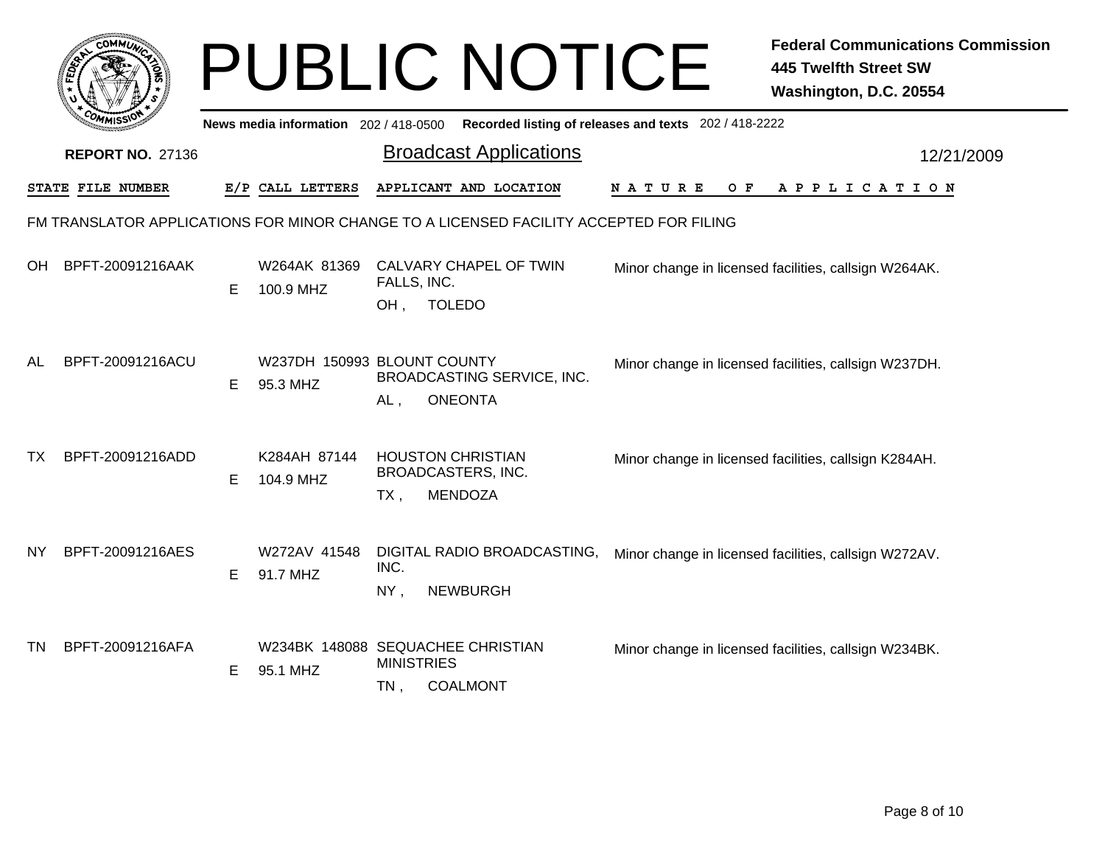|           |                         |    |                                               |                                                          | <b>PUBLIC NOTICE</b>                                                                   |                                                       | <b>Federal Communications Commission</b><br><b>445 Twelfth Street SW</b><br>Washington, D.C. 20554 |
|-----------|-------------------------|----|-----------------------------------------------|----------------------------------------------------------|----------------------------------------------------------------------------------------|-------------------------------------------------------|----------------------------------------------------------------------------------------------------|
|           |                         |    | News media information 202 / 418-0500         |                                                          |                                                                                        | Recorded listing of releases and texts 202 / 418-2222 |                                                                                                    |
|           | <b>REPORT NO. 27136</b> |    |                                               |                                                          | <b>Broadcast Applications</b>                                                          |                                                       | 12/21/2009                                                                                         |
|           | STATE FILE NUMBER       |    | E/P CALL LETTERS                              |                                                          | APPLICANT AND LOCATION                                                                 | N A T U R E<br>O F                                    | A P P L I C A T I O N                                                                              |
|           |                         |    |                                               |                                                          | FM TRANSLATOR APPLICATIONS FOR MINOR CHANGE TO A LICENSED FACILITY ACCEPTED FOR FILING |                                                       |                                                                                                    |
| OH        | BPFT-20091216AAK        | E. | W264AK 81369<br>100.9 MHZ                     | FALLS, INC.<br>OH,                                       | CALVARY CHAPEL OF TWIN<br><b>TOLEDO</b>                                                |                                                       | Minor change in licensed facilities, callsign W264AK.                                              |
| AL        | BPFT-20091216ACU        | E. | W237DH 150993 BLOUNT COUNTY<br>95.3 MHZ       | AL,                                                      | BROADCASTING SERVICE, INC.<br><b>ONEONTA</b>                                           |                                                       | Minor change in licensed facilities, callsign W237DH.                                              |
| TX        | BPFT-20091216ADD        | E. | K284AH 87144<br>104.9 MHZ                     | <b>HOUSTON CHRISTIAN</b><br>BROADCASTERS, INC.<br>$TX$ , | <b>MENDOZA</b>                                                                         |                                                       | Minor change in licensed facilities, callsign K284AH.                                              |
| NY.       | BPFT-20091216AES        | E. | W272AV 41548<br>91.7 MHZ                      | INC.<br>NY,                                              | DIGITAL RADIO BROADCASTING,<br><b>NEWBURGH</b>                                         |                                                       | Minor change in licensed facilities, callsign W272AV.                                              |
| <b>TN</b> | BPFT-20091216AFA        | E. | W234BK 148088 SEQUACHEE CHRISTIAN<br>95.1 MHZ | <b>MINISTRIES</b><br>$TN$ ,                              | <b>COALMONT</b>                                                                        |                                                       | Minor change in licensed facilities, callsign W234BK.                                              |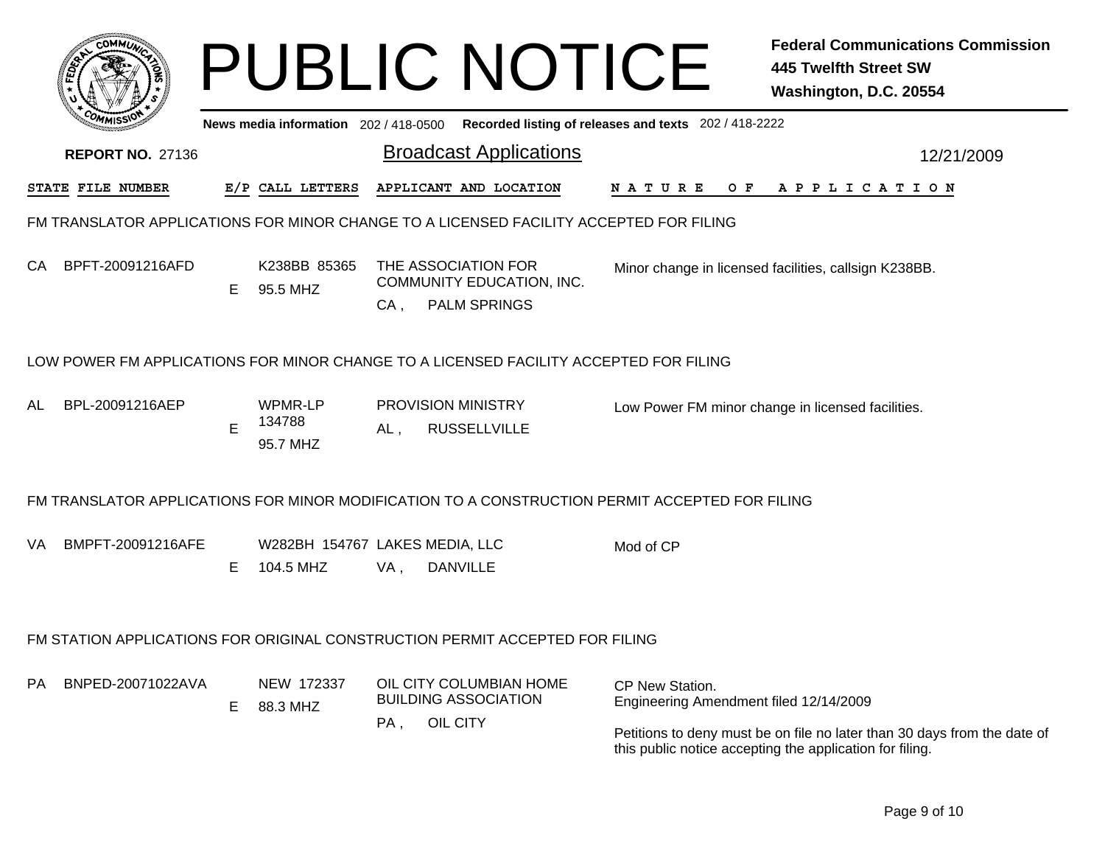|                                                                                                                 |    | <b>PUBLIC NOTICE</b>                        |                                                        |                           |                                                  |                                                           |                                                       | <b>Federal Communications Commission</b><br><b>445 Twelfth Street SW</b><br>Washington, D.C. 20554                                   |  |
|-----------------------------------------------------------------------------------------------------------------|----|---------------------------------------------|--------------------------------------------------------|---------------------------|--------------------------------------------------|-----------------------------------------------------------|-------------------------------------------------------|--------------------------------------------------------------------------------------------------------------------------------------|--|
|                                                                                                                 |    | News media information 202/418-0500         |                                                        |                           |                                                  |                                                           | Recorded listing of releases and texts 202 / 418-2222 |                                                                                                                                      |  |
| <b>REPORT NO. 27136</b>                                                                                         |    |                                             | <b>Broadcast Applications</b>                          |                           |                                                  |                                                           | 12/21/2009                                            |                                                                                                                                      |  |
| STATE FILE NUMBER                                                                                               |    | E/P CALL LETTERS                            | APPLICANT AND LOCATION<br>N A T U R E                  |                           |                                                  |                                                           |                                                       | O F<br>A P P L I C A T I O N                                                                                                         |  |
| FM TRANSLATOR APPLICATIONS FOR MINOR CHANGE TO A LICENSED FACILITY ACCEPTED FOR FILING                          |    |                                             |                                                        |                           |                                                  |                                                           |                                                       |                                                                                                                                      |  |
| BPFT-20091216AFD<br>CА                                                                                          | E. | K238BB 85365<br>95.5 MHZ                    |                                                        |                           | THE ASSOCIATION FOR<br>COMMUNITY EDUCATION, INC. |                                                           | Minor change in licensed facilities, callsign K238BB. |                                                                                                                                      |  |
|                                                                                                                 |    |                                             | $CA$ ,                                                 |                           | <b>PALM SPRINGS</b>                              |                                                           |                                                       |                                                                                                                                      |  |
| LOW POWER FM APPLICATIONS FOR MINOR CHANGE TO A LICENSED FACILITY ACCEPTED FOR FILING<br>BPL-20091216AEP<br>AL. | Е  | WPMR-LP<br>134788<br>95.7 MHZ               | $AL$ ,                                                 | <b>PROVISION MINISTRY</b> | <b>RUSSELLVILLE</b>                              |                                                           |                                                       | Low Power FM minor change in licensed facilities.                                                                                    |  |
| FM TRANSLATOR APPLICATIONS FOR MINOR MODIFICATION TO A CONSTRUCTION PERMIT ACCEPTED FOR FILING                  |    |                                             |                                                        |                           |                                                  |                                                           |                                                       |                                                                                                                                      |  |
| BMPFT-20091216AFE<br>VA.                                                                                        | Е  | W282BH 154767 LAKES MEDIA, LLC<br>104.5 MHZ | VA,                                                    | <b>DANVILLE</b>           |                                                  |                                                           | Mod of CP                                             |                                                                                                                                      |  |
| FM STATION APPLICATIONS FOR ORIGINAL CONSTRUCTION PERMIT ACCEPTED FOR FILING                                    |    |                                             |                                                        |                           |                                                  |                                                           |                                                       |                                                                                                                                      |  |
| BNPED-20071022AVA<br>PА                                                                                         | E. | NEW 172337<br>88.3 MHZ                      | OIL CITY COLUMBIAN HOME<br><b>BUILDING ASSOCIATION</b> |                           |                                                  | CP New Station.<br>Engineering Amendment filed 12/14/2009 |                                                       |                                                                                                                                      |  |
|                                                                                                                 |    |                                             | PA,                                                    | OIL CITY                  |                                                  |                                                           |                                                       | Petitions to deny must be on file no later than 30 days from the date of<br>this public notice accepting the application for filing. |  |